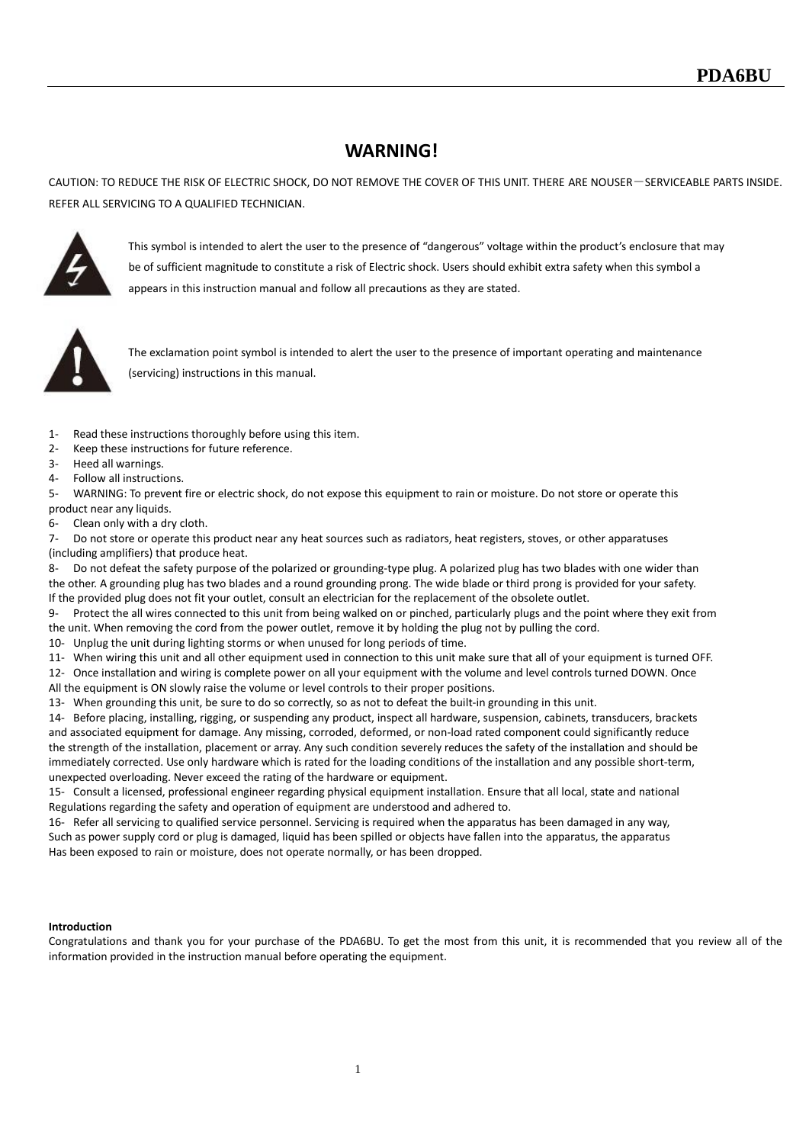## **WARNING!**

CAUTION: TO REDUCE THE RISK OF ELECTRIC SHOCK, DO NOT REMOVE THE COVER OF THIS UNIT. THERE ARE NOUSER-SERVICEABLE PARTS INSIDE. REFER ALL SERVICING TO A QUALIFIED TECHNICIAN.



 This symbol is intended to alert the user to the presence of "dangerous" voltage within the product's enclosure that may be of sufficient magnitude to constitute a risk of Electric shock. Users should exhibit extra safety when this symbol a appears in this instruction manual and follow all precautions as they are stated.



The exclamation point symbol is intended to alert the user to the presence of important operating and maintenance (servicing) instructions in this manual.

- 1- Read these instructions thoroughly before using this item.
- 2- Keep these instructions for future reference.
- 3- Heed all warnings.
- 4- Follow all instructions.

5- WARNING: To prevent fire or electric shock, do not expose this equipment to rain or moisture. Do not store or operate this product near any liquids.

6- Clean only with a dry cloth.

7- Do not store or operate this product near any heat sources such as radiators, heat registers, stoves, or other apparatuses (including amplifiers) that produce heat.

8- Do not defeat the safety purpose of the polarized or grounding-type plug. A polarized plug has two blades with one wider than the other. A grounding plug has two blades and a round grounding prong. The wide blade or third prong is provided for your safety. If the provided plug does not fit your outlet, consult an electrician for the replacement of the obsolete outlet.

9- Protect the all wires connected to this unit from being walked on or pinched, particularly plugs and the point where they exit from the unit. When removing the cord from the power outlet, remove it by holding the plug not by pulling the cord.

10- Unplug the unit during lighting storms or when unused for long periods of time.

11- When wiring this unit and all other equipment used in connection to this unit make sure that all of your equipment is turned OFF.

12- Once installation and wiring is complete power on all your equipment with the volume and level controls turned DOWN. Once

All the equipment is ON slowly raise the volume or level controls to their proper positions.

13- When grounding this unit, be sure to do so correctly, so as not to defeat the built-in grounding in this unit.

14- Before placing, installing, rigging, or suspending any product, inspect all hardware, suspension, cabinets, transducers, brackets and associated equipment for damage. Any missing, corroded, deformed, or non-load rated component could significantly reduce the strength of the installation, placement or array. Any such condition severely reduces the safety of the installation and should be immediately corrected. Use only hardware which is rated for the loading conditions of the installation and any possible short-term, unexpected overloading. Never exceed the rating of the hardware or equipment.

15- Consult a licensed, professional engineer regarding physical equipment installation. Ensure that all local, state and national Regulations regarding the safety and operation of equipment are understood and adhered to.

16- Refer all servicing to qualified service personnel. Servicing is required when the apparatus has been damaged in any way, Such as power supply cord or plug is damaged, liquid has been spilled or objects have fallen into the apparatus, the apparatus Has been exposed to rain or moisture, does not operate normally, or has been dropped.

#### **Introduction**

Congratulations and thank you for your purchase of the PDA6BU. To get the most from this unit, it is recommended that you review all of the information provided in the instruction manual before operating the equipment.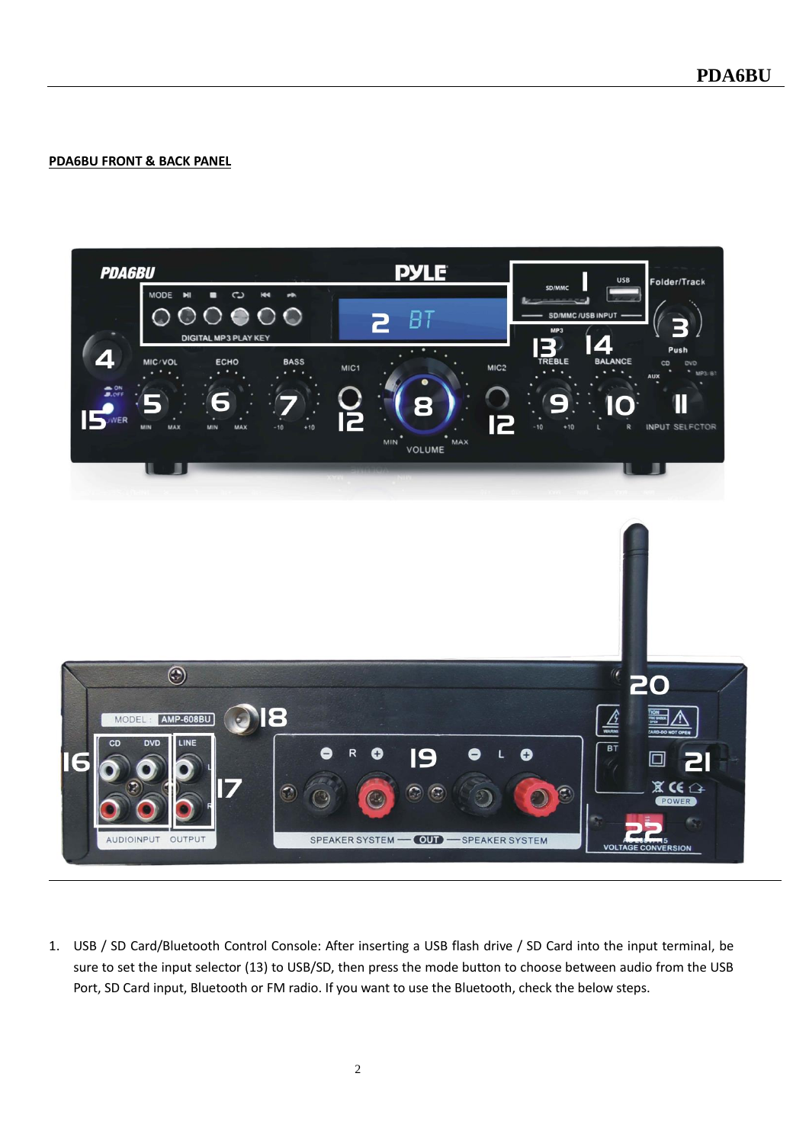### **PDA6BU FRONT & BACK PANEL**



1. USB / SD Card/Bluetooth Control Console: After inserting a USB flash drive / SD Card into the input terminal, be sure to set the input selector (13) to USB/SD, then press the mode button to choose between audio from the USB Port, SD Card input, Bluetooth or FM radio. If you want to use the Bluetooth, check the below steps.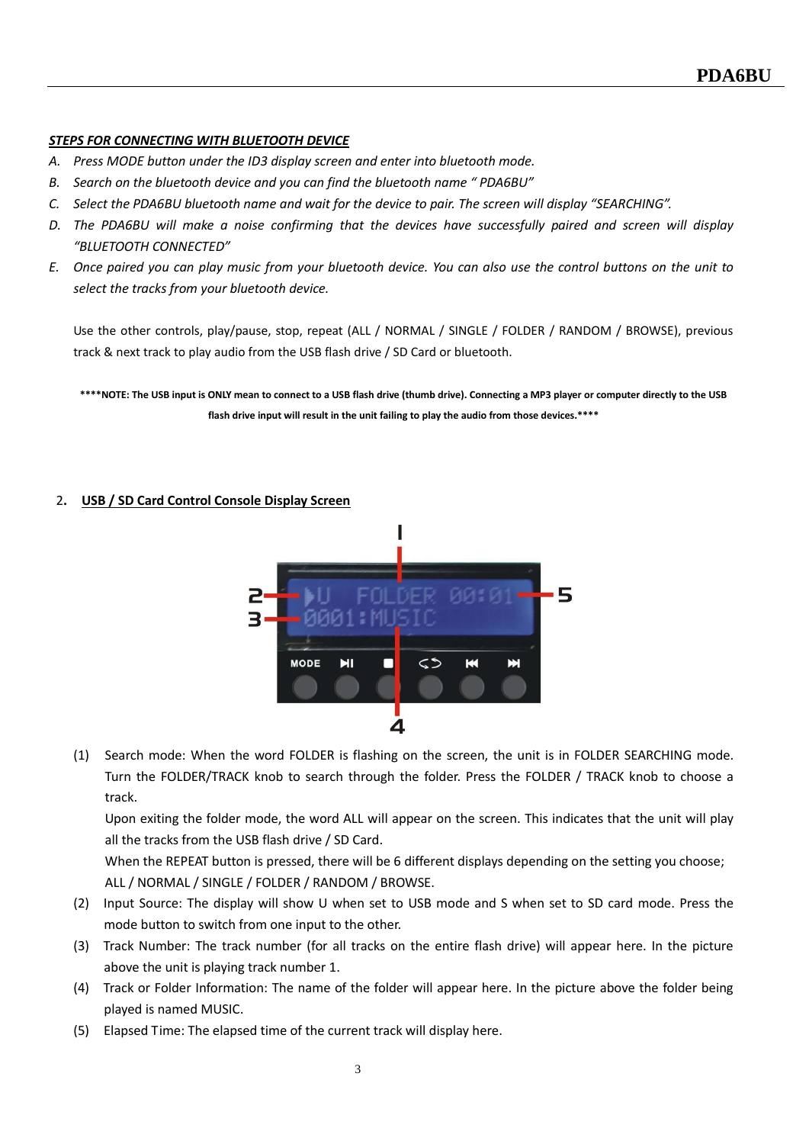### *STEPS FOR CONNECTING WITH BLUETOOTH DEVICE*

- *A. Press MODE button under the ID3 display screen and enter into bluetooth mode.*
- *B. Search on the bluetooth device and you can find the bluetooth name " PDA6BU"*
- *C. Select the PDA6BU bluetooth name and wait for the device to pair. The screen will display "SEARCHING".*
- *D. The PDA6BU will make a noise confirming that the devices have successfully paired and screen will display "BLUETOOTH CONNECTED"*
- *E. Once paired you can play music from your bluetooth device. You can also use the control buttons on the unit to select the tracks from your bluetooth device.*

Use the other controls, play/pause, stop, repeat (ALL / NORMAL / SINGLE / FOLDER / RANDOM / BROWSE), previous track & next track to play audio from the USB flash drive / SD Card or bluetooth.

**\*\*\*\*NOTE: The USB input is ONLY mean to connect to a USB flash drive (thumb drive). Connecting a MP3 player or computer directly to the USB flash drive input will result in the unit failing to play the audio from those devices.\*\*\*\***

# **MODE**  $H$ CS  $\Delta$

2**. USB / SD Card Control Console Display Screen**

(1) Search mode: When the word FOLDER is flashing on the screen, the unit is in FOLDER SEARCHING mode. Turn the FOLDER/TRACK knob to search through the folder. Press the FOLDER / TRACK knob to choose a track.

Upon exiting the folder mode, the word ALL will appear on the screen. This indicates that the unit will play all the tracks from the USB flash drive / SD Card.

When the REPEAT button is pressed, there will be 6 different displays depending on the setting you choose; ALL / NORMAL / SINGLE / FOLDER / RANDOM / BROWSE.

- (2) Input Source: The display will show U when set to USB mode and S when set to SD card mode. Press the mode button to switch from one input to the other.
- (3) Track Number: The track number (for all tracks on the entire flash drive) will appear here. In the picture above the unit is playing track number 1.
- (4) Track or Folder Information: The name of the folder will appear here. In the picture above the folder being played is named MUSIC.
- (5) Elapsed Time: The elapsed time of the current track will display here.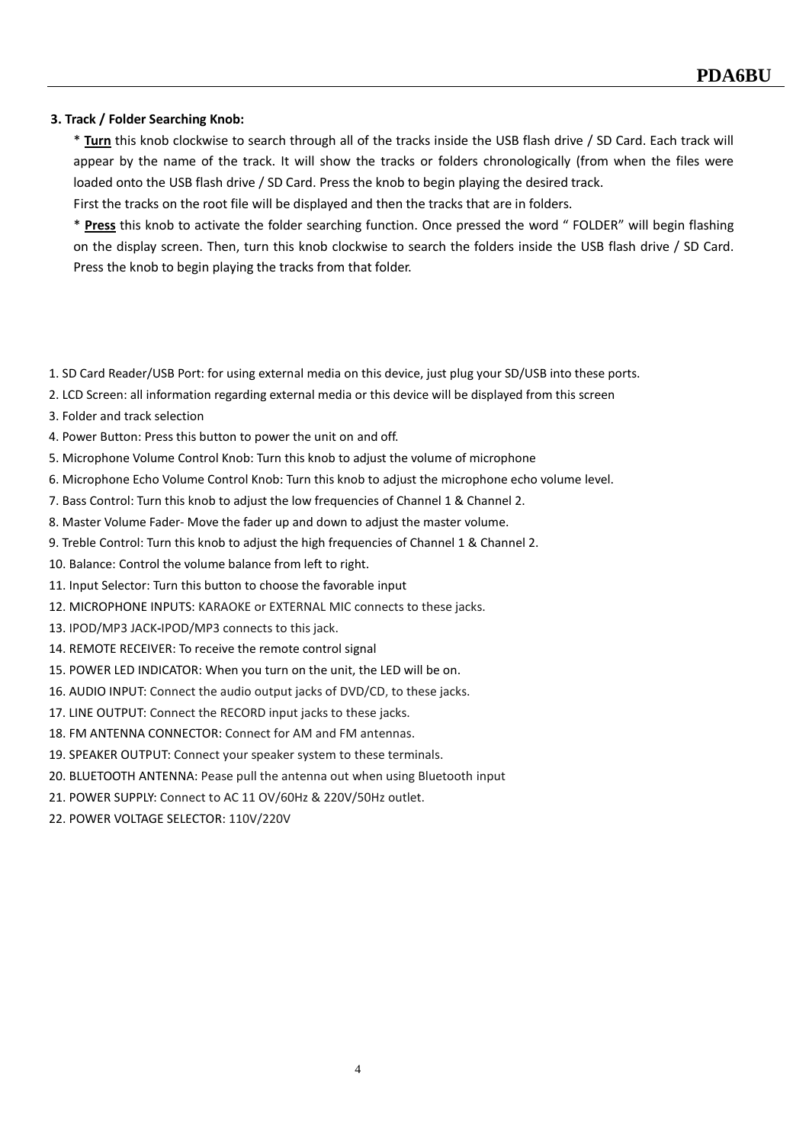### **3. Track / Folder Searching Knob:**

\* **Turn** this knob clockwise to search through all of the tracks inside the USB flash drive / SD Card. Each track will appear by the name of the track. It will show the tracks or folders chronologically (from when the files were loaded onto the USB flash drive / SD Card. Press the knob to begin playing the desired track.

First the tracks on the root file will be displayed and then the tracks that are in folders.

\* **Press** this knob to activate the folder searching function. Once pressed the word " FOLDER" will begin flashing on the display screen. Then, turn this knob clockwise to search the folders inside the USB flash drive / SD Card. Press the knob to begin playing the tracks from that folder.

### 1. SD Card Reader/USB Port: for using external media on this device, just plug your SD/USB into these ports.

- 2. LCD Screen: all information regarding external media or this device will be displayed from this screen
- 3. Folder and track selection
- 4. Power Button: Press this button to power the unit on and off.
- 5. Microphone Volume Control Knob: Turn this knob to adjust the volume of microphone
- 6. Microphone Echo Volume Control Knob: Turn this knob to adjust the microphone echo volume level.
- 7. Bass Control: Turn this knob to adjust the low frequencies of Channel 1 & Channel 2.
- 8. Master Volume Fader- Move the fader up and down to adjust the master volume.
- 9. Treble Control: Turn this knob to adjust the high frequencies of Channel 1 & Channel 2.
- 10. Balance: Control the volume balance from left to right.
- 11. Input Selector: Turn this button to choose the favorable input
- 12. MICROPHONE INPUTS: KARAOKE or EXTERNAL MIC connects to these jacks.
- 13. IPOD/MP3 JACK**-**IPOD/MP3 connects to this jack.
- 14. REMOTE RECEIVER: To receive the remote control signal
- 15. POWER LED INDICATOR: When you turn on the unit, the LED will be on.
- 16. AUDIO INPUT: Connect the audio output jacks of DVD/CD, to these jacks.
- 17. LINE OUTPUT: Connect the RECORD input jacks to these jacks.
- 18. FM ANTENNA CONNECTOR: Connect for AM and FM antennas.
- 19. SPEAKER OUTPUT: Connect your speaker system to these terminals.
- 20. BLUETOOTH ANTENNA: Pease pull the antenna out when using Bluetooth input
- 21. POWER SUPPLY: Connect to AC 11 OV/60Hz & 220V/50Hz outlet.
- 22. POWER VOLTAGE SELECTOR: 110V/220V